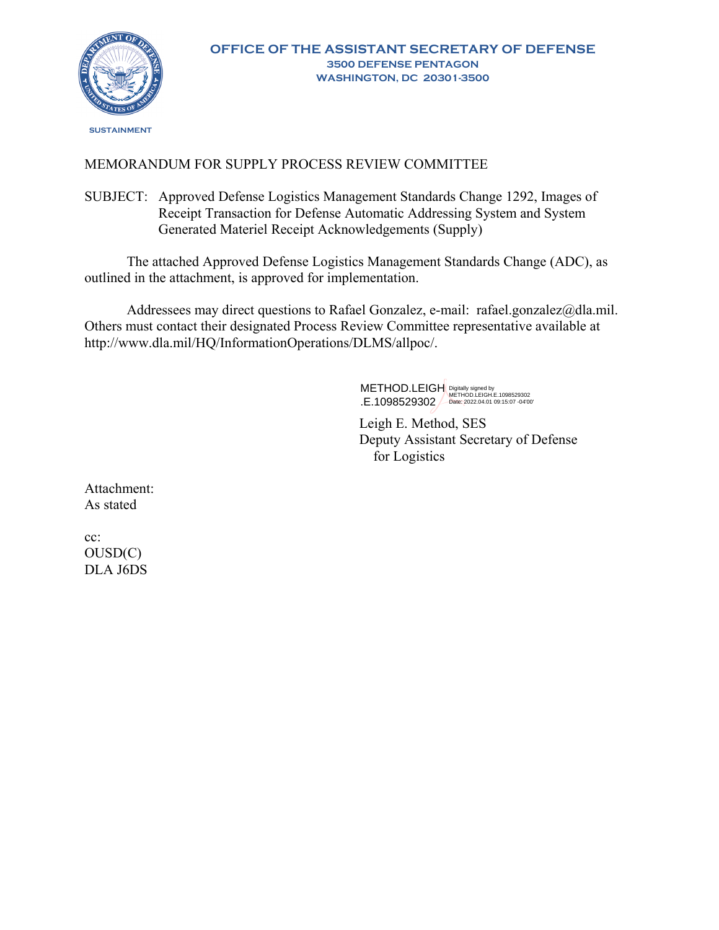

# MEMORANDUM FOR SUPPLY PROCESS REVIEW COMMITTEE

SUBJECT: Approved Defense Logistics Management Standards Change 1292, Images of Receipt Transaction for Defense Automatic Addressing System and System Generated Materiel Receipt Acknowledgements (Supply)

The attached Approved Defense Logistics Management Standards Change (ADC), as outlined in the attachment, is approved for implementation.

Addressees may direct questions to Rafael Gonzalez, e-mail: rafael.gonzalez@dla.mil. Others must contact their designated Process Review Committee representative available at http://www.dla.mil/HQ/InformationOperations/DLMS/allpoc/.

> $\overline{\phantom{0}}$ METHOD.LEIGH .E.1098529302 Digitally signed by METHOD.LEIGH.E.1098529302 Date: 2022.04.01 09:15:07 -04'00'

Leigh E. Method, SES Deputy Assistant Secretary of Defense for Logistics

Attachment: As stated

cc: OUSD(C) DLA J6DS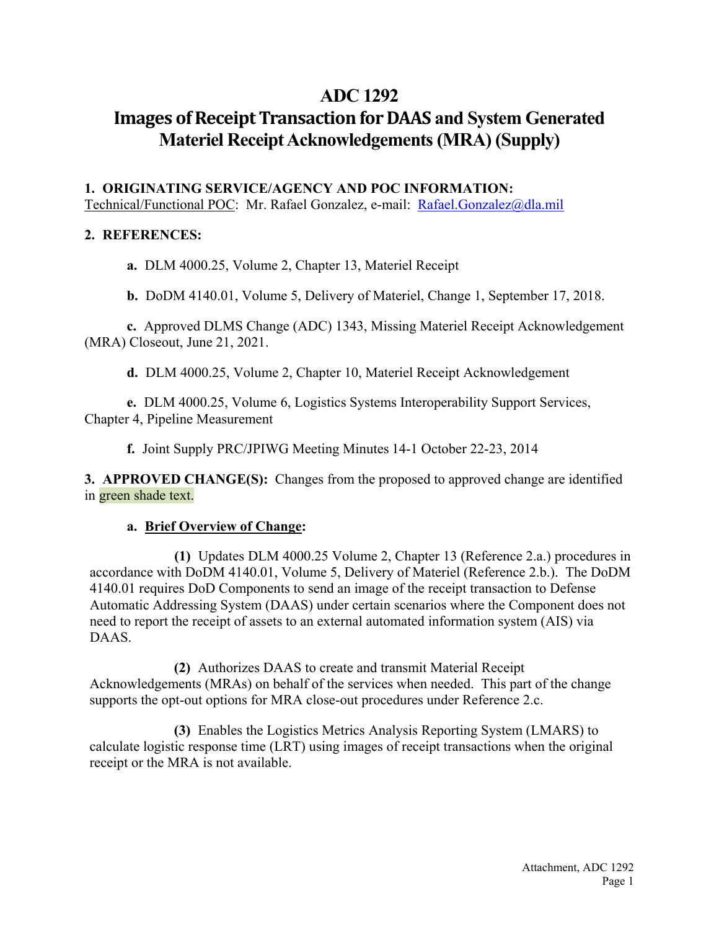# **ADC 1292**

# **Images of Receipt Transaction for DAAS** and System Generated **Materiel Receipt Acknowledgements (MRA) (Supply)**

## **1. ORIGINATING SERVICE/AGENCY AND POC INFORMATION:**

Technical/Functional POC: Mr. Rafael Gonzalez, e-mail: [Rafael.Gonzalez@dla.mil](mailto:Rafael.Gonzalez@dla.mil)

## **2. REFERENCES:**

**a.** DLM 4000.25, Volume 2, Chapter 13, Materiel Receipt

**b.** DoDM 4140.01, Volume 5, Delivery of Materiel, Change 1, September 17, 2018.

**c.** Approved DLMS Change (ADC) 1343, Missing Materiel Receipt Acknowledgement (MRA) Closeout, June 21, 2021.

**d.** DLM 4000.25, Volume 2, Chapter 10, Materiel Receipt Acknowledgement

**e.** DLM 4000.25, Volume 6, Logistics Systems Interoperability Support Services, Chapter 4, Pipeline Measurement

**f.** Joint Supply PRC/JPIWG Meeting Minutes 14-1 October 22-23, 2014

**3. APPROVED CHANGE(S):** Changes from the proposed to approved change are identified in green shade text.

## **a. Brief Overview of Change:**

**(1)** Updates DLM 4000.25 Volume 2, Chapter 13 (Reference 2.a.) procedures in accordance with DoDM 4140.01, Volume 5, Delivery of Materiel (Reference 2.b.). The DoDM 4140.01 requires DoD Components to send an image of the receipt transaction to Defense Automatic Addressing System (DAAS) under certain scenarios where the Component does not need to report the receipt of assets to an external automated information system (AIS) via DAAS.

**(2)** Authorizes DAAS to create and transmit Material Receipt Acknowledgements (MRAs) on behalf of the services when needed. This part of the change supports the opt-out options for MRA close-out procedures under Reference 2.c.

**(3)** Enables the Logistics Metrics Analysis Reporting System (LMARS) to calculate logistic response time (LRT) using images of receipt transactions when the original receipt or the MRA is not available.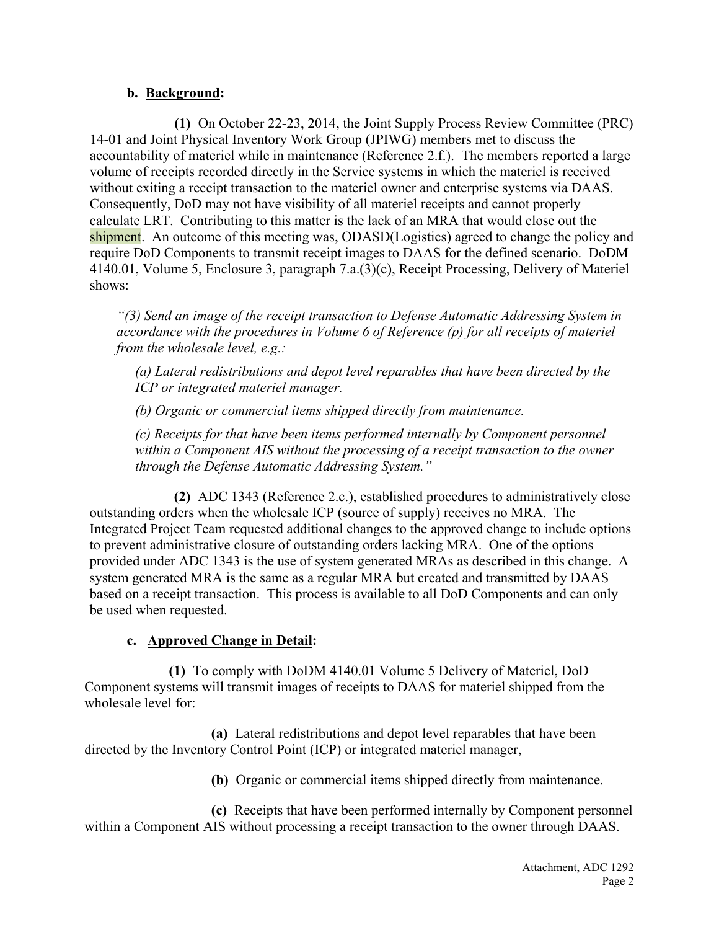### **b. Background:**

**(1)** On October 22-23, 2014, the Joint Supply Process Review Committee (PRC) 14-01 and Joint Physical Inventory Work Group (JPIWG) members met to discuss the accountability of materiel while in maintenance (Reference 2.f.). The members reported a large volume of receipts recorded directly in the Service systems in which the materiel is received without exiting a receipt transaction to the materiel owner and enterprise systems via DAAS. Consequently, DoD may not have visibility of all materiel receipts and cannot properly calculate LRT. Contributing to this matter is the lack of an MRA that would close out the shipment. An outcome of this meeting was, ODASD(Logistics) agreed to change the policy and require DoD Components to transmit receipt images to DAAS for the defined scenario. DoDM 4140.01, Volume 5, Enclosure 3, paragraph 7.a.(3)(c), Receipt Processing, Delivery of Materiel shows:

*"(3) Send an image of the receipt transaction to Defense Automatic Addressing System in accordance with the procedures in Volume 6 of Reference (p) for all receipts of materiel from the wholesale level, e.g.:* 

*(a) Lateral redistributions and depot level reparables that have been directed by the ICP or integrated materiel manager.* 

*(b) Organic or commercial items shipped directly from maintenance.* 

*(c) Receipts for that have been items performed internally by Component personnel within a Component AIS without the processing of a receipt transaction to the owner through the Defense Automatic Addressing System."*

**(2)** ADC 1343 (Reference 2.c.), established procedures to administratively close outstanding orders when the wholesale ICP (source of supply) receives no MRA. The Integrated Project Team requested additional changes to the approved change to include options to prevent administrative closure of outstanding orders lacking MRA. One of the options provided under ADC 1343 is the use of system generated MRAs as described in this change. A system generated MRA is the same as a regular MRA but created and transmitted by DAAS based on a receipt transaction. This process is available to all DoD Components and can only be used when requested.

## **c. Approved Change in Detail:**

**(1)** To comply with DoDM 4140.01 Volume 5 Delivery of Materiel, DoD Component systems will transmit images of receipts to DAAS for materiel shipped from the wholesale level for:

**(a)** Lateral redistributions and depot level reparables that have been directed by the Inventory Control Point (ICP) or integrated materiel manager,

**(b)** Organic or commercial items shipped directly from maintenance.

**(c)** Receipts that have been performed internally by Component personnel within a Component AIS without processing a receipt transaction to the owner through DAAS.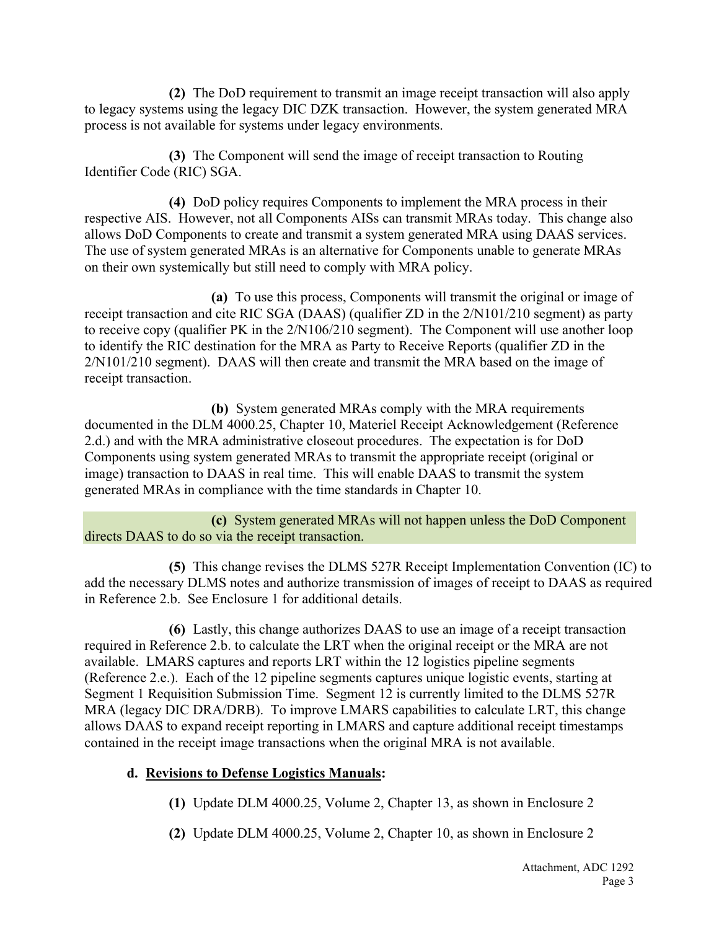**(2)** The DoD requirement to transmit an image receipt transaction will also apply to legacy systems using the legacy DIC DZK transaction. However, the system generated MRA process is not available for systems under legacy environments.

**(3)** The Component will send the image of receipt transaction to Routing Identifier Code (RIC) SGA.

**(4)** DoD policy requires Components to implement the MRA process in their respective AIS. However, not all Components AISs can transmit MRAs today. This change also allows DoD Components to create and transmit a system generated MRA using DAAS services. The use of system generated MRAs is an alternative for Components unable to generate MRAs on their own systemically but still need to comply with MRA policy.

**(a)** To use this process, Components will transmit the original or image of receipt transaction and cite RIC SGA (DAAS) (qualifier ZD in the 2/N101/210 segment) as party to receive copy (qualifier PK in the 2/N106/210 segment). The Component will use another loop to identify the RIC destination for the MRA as Party to Receive Reports (qualifier ZD in the 2/N101/210 segment). DAAS will then create and transmit the MRA based on the image of receipt transaction.

**(b)** System generated MRAs comply with the MRA requirements documented in the DLM 4000.25, Chapter 10, Materiel Receipt Acknowledgement (Reference 2.d.) and with the MRA administrative closeout procedures. The expectation is for DoD Components using system generated MRAs to transmit the appropriate receipt (original or image) transaction to DAAS in real time. This will enable DAAS to transmit the system generated MRAs in compliance with the time standards in Chapter 10.

**(c)** System generated MRAs will not happen unless the DoD Component directs DAAS to do so via the receipt transaction.

**(5)** This change revises the DLMS 527R Receipt Implementation Convention (IC) to add the necessary DLMS notes and authorize transmission of images of receipt to DAAS as required in Reference 2.b. See Enclosure 1 for additional details.

**(6)** Lastly, this change authorizes DAAS to use an image of a receipt transaction required in Reference 2.b. to calculate the LRT when the original receipt or the MRA are not available. LMARS captures and reports LRT within the 12 logistics pipeline segments (Reference 2.e.). Each of the 12 pipeline segments captures unique logistic events, starting at Segment 1 Requisition Submission Time. Segment 12 is currently limited to the DLMS 527R MRA (legacy DIC DRA/DRB). To improve LMARS capabilities to calculate LRT, this change allows DAAS to expand receipt reporting in LMARS and capture additional receipt timestamps contained in the receipt image transactions when the original MRA is not available.

## **d. Revisions to Defense Logistics Manuals:**

**(1)** Update DLM 4000.25, Volume 2, Chapter 13, as shown in Enclosure 2

**(2)** Update DLM 4000.25, Volume 2, Chapter 10, as shown in Enclosure 2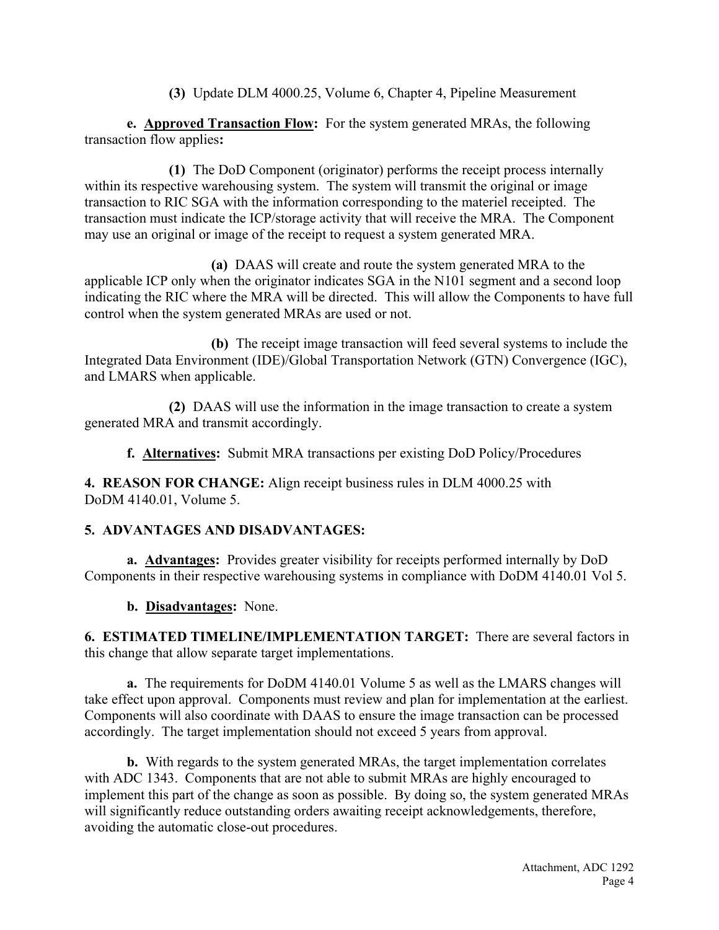**(3)** Update DLM 4000.25, Volume 6, Chapter 4, Pipeline Measurement

**e. Approved Transaction Flow:** For the system generated MRAs, the following transaction flow applies**:**

**(1)** The DoD Component (originator) performs the receipt process internally within its respective warehousing system. The system will transmit the original or image transaction to RIC SGA with the information corresponding to the materiel receipted. The transaction must indicate the ICP/storage activity that will receive the MRA. The Component may use an original or image of the receipt to request a system generated MRA.

**(a)** DAAS will create and route the system generated MRA to the applicable ICP only when the originator indicates SGA in the N101 segment and a second loop indicating the RIC where the MRA will be directed. This will allow the Components to have full control when the system generated MRAs are used or not.

**(b)** The receipt image transaction will feed several systems to include the Integrated Data Environment (IDE)/Global Transportation Network (GTN) Convergence (IGC), and LMARS when applicable.

**(2)** DAAS will use the information in the image transaction to create a system generated MRA and transmit accordingly.

**f. Alternatives:** Submit MRA transactions per existing DoD Policy/Procedures

**4. REASON FOR CHANGE:** Align receipt business rules in DLM 4000.25 with DoDM 4140.01, Volume 5.

## **5. ADVANTAGES AND DISADVANTAGES:**

**a. Advantages:** Provides greater visibility for receipts performed internally by DoD Components in their respective warehousing systems in compliance with DoDM 4140.01 Vol 5.

**b. Disadvantages:** None.

**6. ESTIMATED TIMELINE/IMPLEMENTATION TARGET:** There are several factors in this change that allow separate target implementations.

**a.** The requirements for DoDM 4140.01 Volume 5 as well as the LMARS changes will take effect upon approval. Components must review and plan for implementation at the earliest. Components will also coordinate with DAAS to ensure the image transaction can be processed accordingly. The target implementation should not exceed 5 years from approval.

**b.** With regards to the system generated MRAs, the target implementation correlates with ADC 1343. Components that are not able to submit MRAs are highly encouraged to implement this part of the change as soon as possible. By doing so, the system generated MRAs will significantly reduce outstanding orders awaiting receipt acknowledgements, therefore, avoiding the automatic close-out procedures.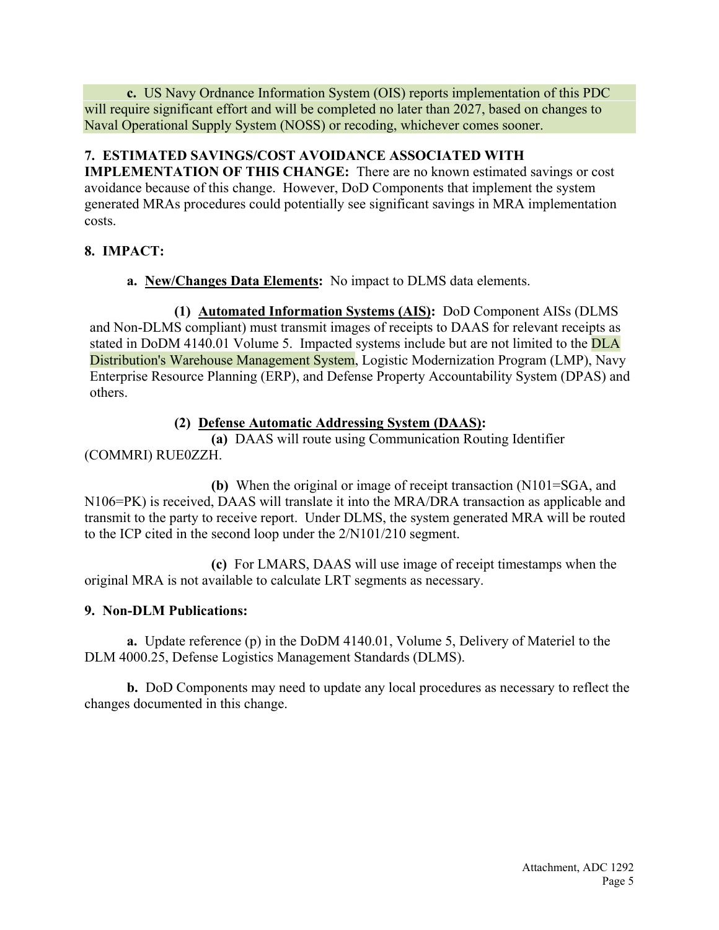**c.** US Navy Ordnance Information System (OIS) reports implementation of this PDC will require significant effort and will be completed no later than 2027, based on changes to Naval Operational Supply System (NOSS) or recoding, whichever comes sooner.

## **7. ESTIMATED SAVINGS/COST AVOIDANCE ASSOCIATED WITH**

**IMPLEMENTATION OF THIS CHANGE:** There are no known estimated savings or cost avoidance because of this change. However, DoD Components that implement the system generated MRAs procedures could potentially see significant savings in MRA implementation costs.

# **8. IMPACT:**

**a. New/Changes Data Elements:** No impact to DLMS data elements.

**(1) Automated Information Systems (AIS):** DoD Component AISs (DLMS and Non-DLMS compliant) must transmit images of receipts to DAAS for relevant receipts as stated in DoDM 4140.01 Volume 5. Impacted systems include but are not limited to the DLA Distribution's Warehouse Management System, Logistic Modernization Program (LMP), Navy Enterprise Resource Planning (ERP), and Defense Property Accountability System (DPAS) and others.

# **(2) Defense Automatic Addressing System (DAAS):**

**(a)** DAAS will route using Communication Routing Identifier (COMMRI) RUE0ZZH.

**(b)** When the original or image of receipt transaction (N101=SGA, and N106=PK) is received, DAAS will translate it into the MRA/DRA transaction as applicable and transmit to the party to receive report. Under DLMS, the system generated MRA will be routed to the ICP cited in the second loop under the 2/N101/210 segment.

**(c)** For LMARS, DAAS will use image of receipt timestamps when the original MRA is not available to calculate LRT segments as necessary.

# **9. Non-DLM Publications:**

**a.** Update reference (p) in the DoDM 4140.01, Volume 5, Delivery of Materiel to the DLM 4000.25, Defense Logistics Management Standards (DLMS).

**b.** DoD Components may need to update any local procedures as necessary to reflect the changes documented in this change.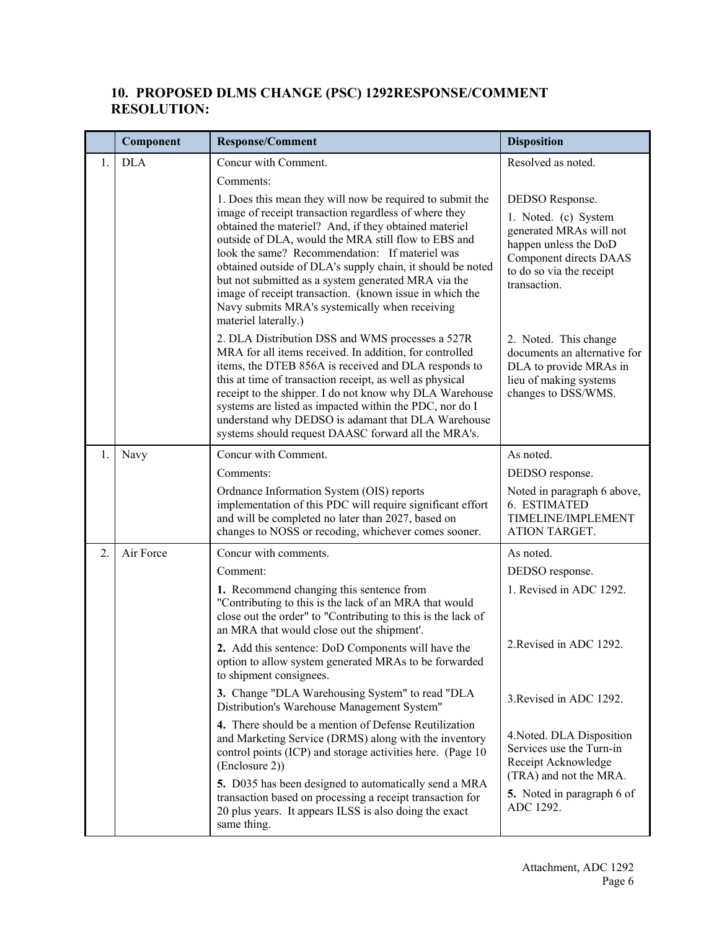## **10. PROPOSED DLMS CHANGE (PSC) 1292RESPONSE/COMMENT RESOLUTION:**

|    | Component  | Response/Comment                                                                                                                                                                                                                                                                                                                                                                                                                                                                  | <b>Disposition</b>                                                                                                                             |
|----|------------|-----------------------------------------------------------------------------------------------------------------------------------------------------------------------------------------------------------------------------------------------------------------------------------------------------------------------------------------------------------------------------------------------------------------------------------------------------------------------------------|------------------------------------------------------------------------------------------------------------------------------------------------|
| 1. | <b>DLA</b> | Concur with Comment.                                                                                                                                                                                                                                                                                                                                                                                                                                                              | Resolved as noted.                                                                                                                             |
|    |            | Comments:                                                                                                                                                                                                                                                                                                                                                                                                                                                                         |                                                                                                                                                |
|    |            | 1. Does this mean they will now be required to submit the                                                                                                                                                                                                                                                                                                                                                                                                                         | DEDSO Response.                                                                                                                                |
|    |            | image of receipt transaction regardless of where they<br>obtained the materiel? And, if they obtained materiel<br>outside of DLA, would the MRA still flow to EBS and<br>look the same? Recommendation: If materiel was<br>obtained outside of DLA's supply chain, it should be noted<br>but not submitted as a system generated MRA via the<br>image of receipt transaction. (known issue in which the<br>Navy submits MRA's systemically when receiving<br>materiel laterally.) | 1. Noted. (c) System<br>generated MRAs will not<br>happen unless the DoD<br>Component directs DAAS<br>to do so via the receipt<br>transaction. |
|    |            | 2. DLA Distribution DSS and WMS processes a 527R<br>MRA for all items received. In addition, for controlled<br>items, the DTEB 856A is received and DLA responds to<br>this at time of transaction receipt, as well as physical<br>receipt to the shipper. I do not know why DLA Warehouse<br>systems are listed as impacted within the PDC, nor do I<br>understand why DEDSO is adamant that DLA Warehouse<br>systems should request DAASC forward all the MRA's.                | 2. Noted. This change<br>documents an alternative for<br>DLA to provide MRAs in<br>lieu of making systems<br>changes to DSS/WMS.               |
| 1. | Navy       | Concur with Comment.                                                                                                                                                                                                                                                                                                                                                                                                                                                              | As noted.                                                                                                                                      |
|    |            | Comments:                                                                                                                                                                                                                                                                                                                                                                                                                                                                         | DEDSO response.                                                                                                                                |
|    |            | Ordnance Information System (OIS) reports<br>implementation of this PDC will require significant effort<br>and will be completed no later than 2027, based on<br>changes to NOSS or recoding, whichever comes sooner.                                                                                                                                                                                                                                                             | Noted in paragraph 6 above,<br>6. ESTIMATED<br>TIMELINE/IMPLEMENT<br>ATION TARGET.                                                             |
| 2. | Air Force  | Concur with comments.                                                                                                                                                                                                                                                                                                                                                                                                                                                             | As noted.                                                                                                                                      |
|    |            | Comment:                                                                                                                                                                                                                                                                                                                                                                                                                                                                          | DEDSO response.                                                                                                                                |
|    |            | 1. Recommend changing this sentence from<br>"Contributing to this is the lack of an MRA that would<br>close out the order" to "Contributing to this is the lack of<br>an MRA that would close out the shipment'.                                                                                                                                                                                                                                                                  | 1. Revised in ADC 1292.                                                                                                                        |
|    |            | 2. Add this sentence: DoD Components will have the<br>option to allow system generated MRAs to be forwarded<br>to shipment consignees.                                                                                                                                                                                                                                                                                                                                            | 2. Revised in ADC 1292.                                                                                                                        |
|    |            | 3. Change "DLA Warehousing System" to read "DLA<br>Distribution's Warehouse Management System"                                                                                                                                                                                                                                                                                                                                                                                    | 3. Revised in ADC 1292.                                                                                                                        |
|    |            | 4. There should be a mention of Defense Reutilization<br>and Marketing Service (DRMS) along with the inventory<br>control points (ICP) and storage activities here. (Page 10<br>(Enclosure 2))                                                                                                                                                                                                                                                                                    | 4. Noted. DLA Disposition<br>Services use the Turn-in<br>Receipt Acknowledge<br>(TRA) and not the MRA.                                         |
|    |            | 5. D035 has been designed to automatically send a MRA<br>transaction based on processing a receipt transaction for<br>20 plus years. It appears ILSS is also doing the exact<br>same thing.                                                                                                                                                                                                                                                                                       | 5. Noted in paragraph 6 of<br>ADC 1292.                                                                                                        |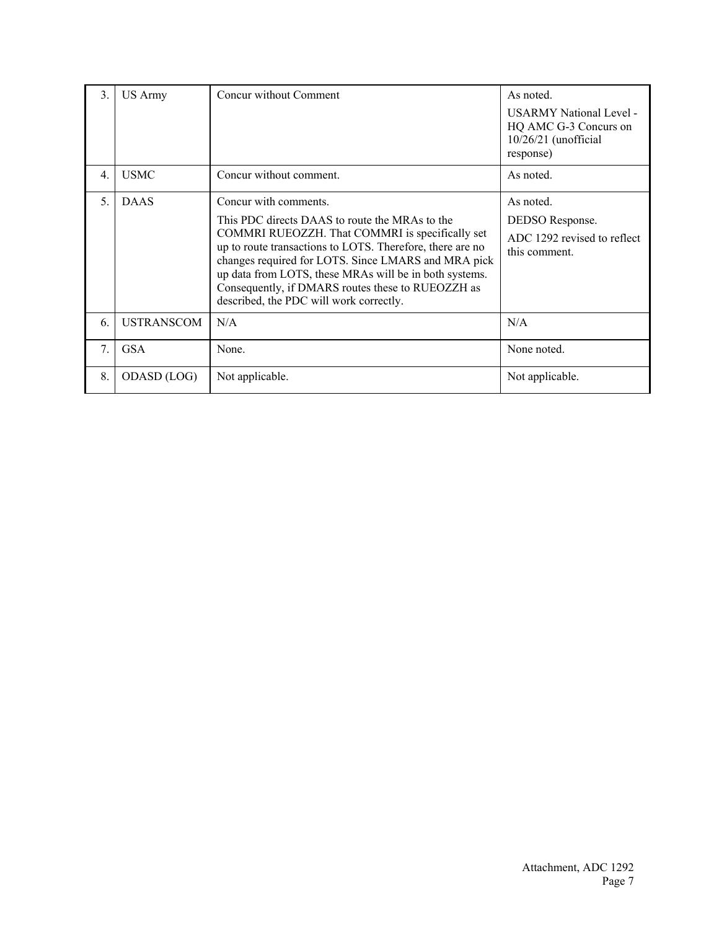| 3. | US Army           | Concur without Comment                                                                                                                                                                                                                                                                                                                                                                                   | As noted.<br><b>USARMY National Level -</b><br>HQ AMC G-3 Concurs on<br>$10/26/21$ (unofficial<br>response) |
|----|-------------------|----------------------------------------------------------------------------------------------------------------------------------------------------------------------------------------------------------------------------------------------------------------------------------------------------------------------------------------------------------------------------------------------------------|-------------------------------------------------------------------------------------------------------------|
| 4. | <b>USMC</b>       | Concur without comment.                                                                                                                                                                                                                                                                                                                                                                                  | As noted.                                                                                                   |
| 5. | <b>DAAS</b>       | Concur with comments.<br>This PDC directs DAAS to route the MRAs to the<br>COMMRI RUEOZZH. That COMMRI is specifically set<br>up to route transactions to LOTS. Therefore, there are no<br>changes required for LOTS. Since LMARS and MRA pick<br>up data from LOTS, these MRAs will be in both systems.<br>Consequently, if DMARS routes these to RUEOZZH as<br>described, the PDC will work correctly. | As noted.<br>DEDSO Response.<br>ADC 1292 revised to reflect<br>this comment.                                |
| 6. | <b>USTRANSCOM</b> | N/A                                                                                                                                                                                                                                                                                                                                                                                                      | N/A                                                                                                         |
| 7. | <b>GSA</b>        | None.                                                                                                                                                                                                                                                                                                                                                                                                    | None noted.                                                                                                 |
| 8. | ODASD (LOG)       | Not applicable.                                                                                                                                                                                                                                                                                                                                                                                          | Not applicable.                                                                                             |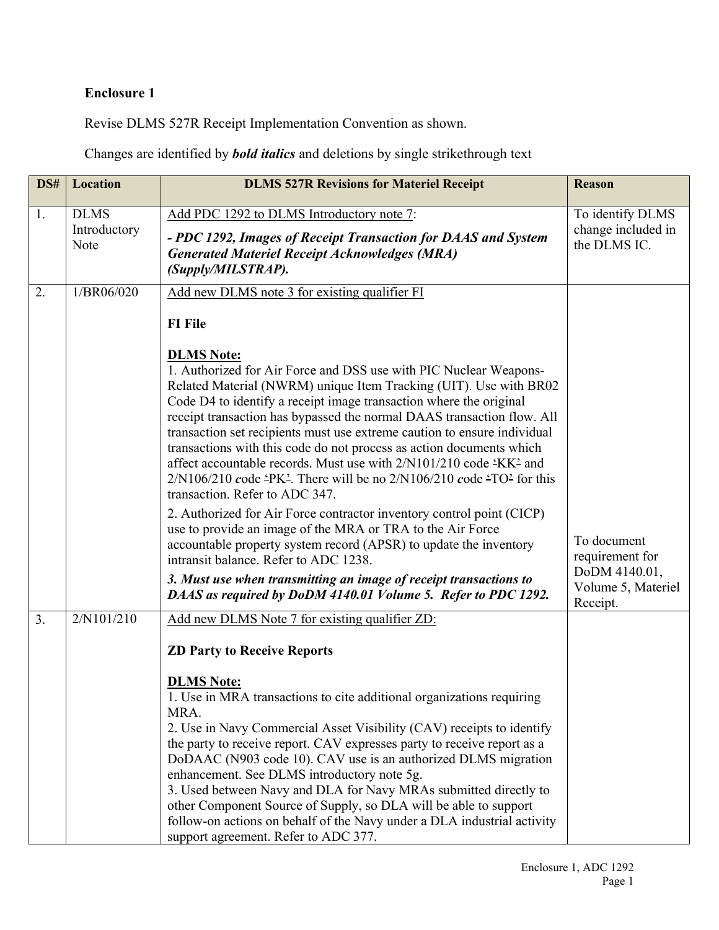# **Enclosure 1**

Revise DLMS 527R Receipt Implementation Convention as shown.

Changes are identified by *bold italics* and deletions by single strikethrough text

| DS# | <b>Location</b>                     | <b>DLMS 527R Revisions for Materiel Receipt</b>                                                                                                                                                                                                                                                                                                                                                                                                                                                                                                                                                                                                                                                                                                                                                                                                                                                                                                                                                                                                                                                                        | <b>Reason</b>                                                                     |
|-----|-------------------------------------|------------------------------------------------------------------------------------------------------------------------------------------------------------------------------------------------------------------------------------------------------------------------------------------------------------------------------------------------------------------------------------------------------------------------------------------------------------------------------------------------------------------------------------------------------------------------------------------------------------------------------------------------------------------------------------------------------------------------------------------------------------------------------------------------------------------------------------------------------------------------------------------------------------------------------------------------------------------------------------------------------------------------------------------------------------------------------------------------------------------------|-----------------------------------------------------------------------------------|
| 1.  | <b>DLMS</b><br>Introductory<br>Note | Add PDC 1292 to DLMS Introductory note 7:<br>- PDC 1292, Images of Receipt Transaction for DAAS and System<br><b>Generated Materiel Receipt Acknowledges (MRA)</b><br>(Supply/MILSTRAP).                                                                                                                                                                                                                                                                                                                                                                                                                                                                                                                                                                                                                                                                                                                                                                                                                                                                                                                               | To identify DLMS<br>change included in<br>the DLMS IC.                            |
| 2.  | 1/BR06/020                          | Add new DLMS note 3 for existing qualifier FI<br><b>FI</b> File<br><b>DLMS Note:</b><br>1. Authorized for Air Force and DSS use with PIC Nuclear Weapons-<br>Related Material (NWRM) unique Item Tracking (UIT). Use with BR02<br>Code D4 to identify a receipt image transaction where the original<br>receipt transaction has bypassed the normal DAAS transaction flow. All<br>transaction set recipients must use extreme caution to ensure individual<br>transactions with this code do not process as action documents which<br>affect accountable records. Must use with $2/N101/210$ code $4KK^2$ and<br>$2/N106/210$ code 'PK'. There will be no $2/N106/210$ code 'TO' for this<br>transaction. Refer to ADC 347.<br>2. Authorized for Air Force contractor inventory control point (CICP)<br>use to provide an image of the MRA or TRA to the Air Force<br>accountable property system record (APSR) to update the inventory<br>intransit balance. Refer to ADC 1238.<br>3. Must use when transmitting an image of receipt transactions to<br>DAAS as required by DoDM 4140.01 Volume 5. Refer to PDC 1292. | To document<br>requirement for<br>DoDM 4140.01,<br>Volume 5, Materiel<br>Receipt. |
| 3.  | 2/N101/210                          | Add new DLMS Note 7 for existing qualifier ZD:<br><b>ZD Party to Receive Reports</b><br><b>DLMS Note:</b><br>1. Use in MRA transactions to cite additional organizations requiring<br>MRA.<br>2. Use in Navy Commercial Asset Visibility (CAV) receipts to identify<br>the party to receive report. CAV expresses party to receive report as a<br>DoDAAC (N903 code 10). CAV use is an authorized DLMS migration<br>enhancement. See DLMS introductory note 5g.<br>3. Used between Navy and DLA for Navy MRAs submitted directly to<br>other Component Source of Supply, so DLA will be able to support<br>follow-on actions on behalf of the Navy under a DLA industrial activity<br>support agreement. Refer to ADC 377.                                                                                                                                                                                                                                                                                                                                                                                             |                                                                                   |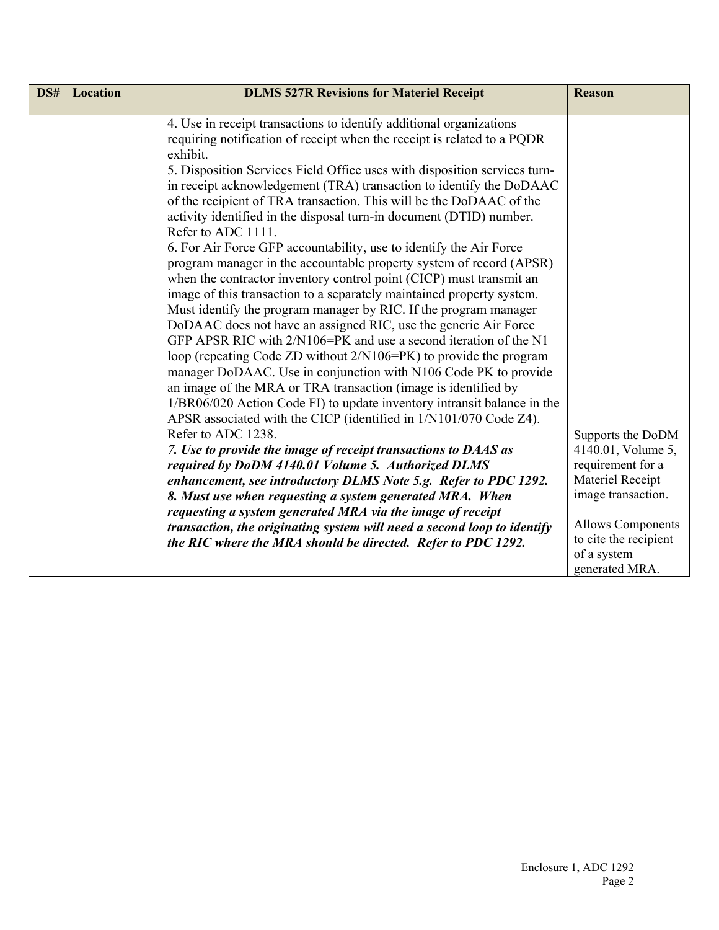| DS# | <b>Location</b> | <b>DLMS 527R Revisions for Materiel Receipt</b>                                                                                                                                                                                                                                                                                                                                                                                                                                                                                                                                                                                                                                                                                                                                                                                                                                                                                                                                                                                                                                                                                                                                                                                                                                                                                                                                                                                                                                                                                                                                                                                                                                                                                                                                                                                            | <b>Reason</b>                                                                                                                                                                                |
|-----|-----------------|--------------------------------------------------------------------------------------------------------------------------------------------------------------------------------------------------------------------------------------------------------------------------------------------------------------------------------------------------------------------------------------------------------------------------------------------------------------------------------------------------------------------------------------------------------------------------------------------------------------------------------------------------------------------------------------------------------------------------------------------------------------------------------------------------------------------------------------------------------------------------------------------------------------------------------------------------------------------------------------------------------------------------------------------------------------------------------------------------------------------------------------------------------------------------------------------------------------------------------------------------------------------------------------------------------------------------------------------------------------------------------------------------------------------------------------------------------------------------------------------------------------------------------------------------------------------------------------------------------------------------------------------------------------------------------------------------------------------------------------------------------------------------------------------------------------------------------------------|----------------------------------------------------------------------------------------------------------------------------------------------------------------------------------------------|
|     |                 | 4. Use in receipt transactions to identify additional organizations<br>requiring notification of receipt when the receipt is related to a PQDR<br>exhibit.<br>5. Disposition Services Field Office uses with disposition services turn-<br>in receipt acknowledgement (TRA) transaction to identify the DoDAAC<br>of the recipient of TRA transaction. This will be the DoDAAC of the<br>activity identified in the disposal turn-in document (DTID) number.<br>Refer to ADC 1111.<br>6. For Air Force GFP accountability, use to identify the Air Force<br>program manager in the accountable property system of record (APSR)<br>when the contractor inventory control point (CICP) must transmit an<br>image of this transaction to a separately maintained property system.<br>Must identify the program manager by RIC. If the program manager<br>DoDAAC does not have an assigned RIC, use the generic Air Force<br>GFP APSR RIC with 2/N106=PK and use a second iteration of the N1<br>loop (repeating Code ZD without 2/N106=PK) to provide the program<br>manager DoDAAC. Use in conjunction with N106 Code PK to provide<br>an image of the MRA or TRA transaction (image is identified by<br>1/BR06/020 Action Code FI) to update inventory intransit balance in the<br>APSR associated with the CICP (identified in 1/N101/070 Code Z4).<br>Refer to ADC 1238.<br>7. Use to provide the image of receipt transactions to DAAS as<br>required by DoDM 4140.01 Volume 5. Authorized DLMS<br>enhancement, see introductory DLMS Note 5.g. Refer to PDC 1292.<br>8. Must use when requesting a system generated MRA. When<br>requesting a system generated MRA via the image of receipt<br>transaction, the originating system will need a second loop to identify<br>the RIC where the MRA should be directed. Refer to PDC 1292. | Supports the DoDM<br>4140.01, Volume 5,<br>requirement for a<br>Materiel Receipt<br>image transaction.<br><b>Allows Components</b><br>to cite the recipient<br>of a system<br>generated MRA. |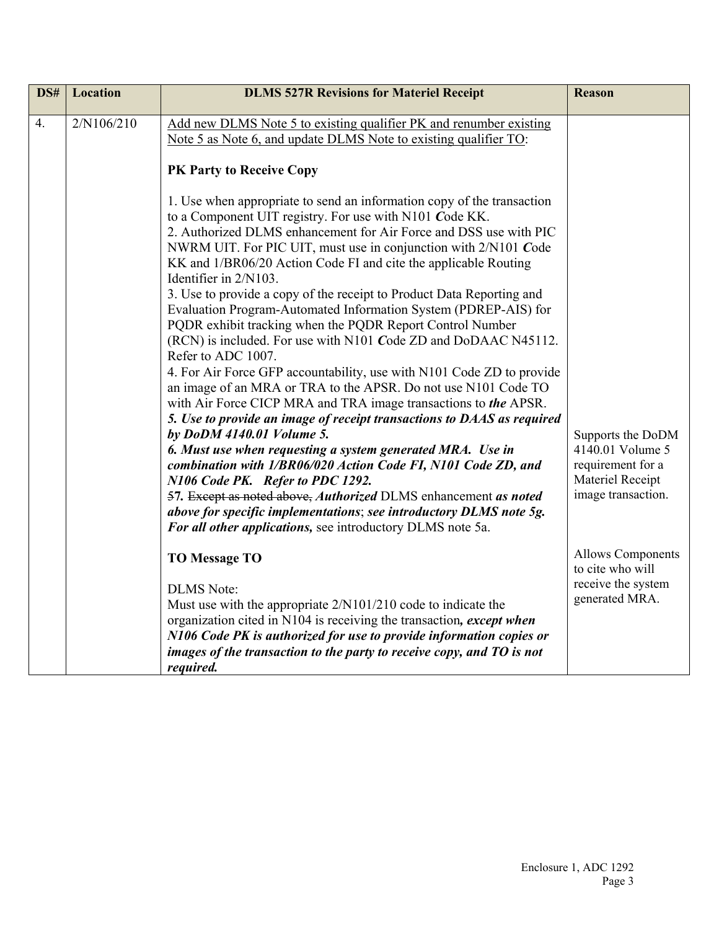| DS# | <b>Location</b> | <b>DLMS 527R Revisions for Materiel Receipt</b>                                                                                                                                                                                                                                                                                                                                                                                                                                                                                                                                                                                                                                                                                                                                                                                                                                                                                                                                                                                                                                                                                                                                                                                                                                                                                                                        | <b>Reason</b>                                                                                        |
|-----|-----------------|------------------------------------------------------------------------------------------------------------------------------------------------------------------------------------------------------------------------------------------------------------------------------------------------------------------------------------------------------------------------------------------------------------------------------------------------------------------------------------------------------------------------------------------------------------------------------------------------------------------------------------------------------------------------------------------------------------------------------------------------------------------------------------------------------------------------------------------------------------------------------------------------------------------------------------------------------------------------------------------------------------------------------------------------------------------------------------------------------------------------------------------------------------------------------------------------------------------------------------------------------------------------------------------------------------------------------------------------------------------------|------------------------------------------------------------------------------------------------------|
| 4.  | 2/N106/210      | Add new DLMS Note 5 to existing qualifier PK and renumber existing<br>Note 5 as Note 6, and update DLMS Note to existing qualifier TO:<br>PK Party to Receive Copy                                                                                                                                                                                                                                                                                                                                                                                                                                                                                                                                                                                                                                                                                                                                                                                                                                                                                                                                                                                                                                                                                                                                                                                                     |                                                                                                      |
|     |                 | 1. Use when appropriate to send an information copy of the transaction<br>to a Component UIT registry. For use with N101 Code KK.<br>2. Authorized DLMS enhancement for Air Force and DSS use with PIC<br>NWRM UIT. For PIC UIT, must use in conjunction with 2/N101 Code<br>KK and 1/BR06/20 Action Code FI and cite the applicable Routing<br>Identifier in 2/N103.<br>3. Use to provide a copy of the receipt to Product Data Reporting and<br>Evaluation Program-Automated Information System (PDREP-AIS) for<br>PQDR exhibit tracking when the PQDR Report Control Number<br>(RCN) is included. For use with N101 Code ZD and DoDAAC N45112.<br>Refer to ADC 1007.<br>4. For Air Force GFP accountability, use with N101 Code ZD to provide<br>an image of an MRA or TRA to the APSR. Do not use N101 Code TO<br>with Air Force CICP MRA and TRA image transactions to the APSR.<br>5. Use to provide an image of receipt transactions to DAAS as required<br>by DoDM 4140.01 Volume 5.<br>6. Must use when requesting a system generated MRA. Use in<br>combination with 1/BR06/020 Action Code FI, N101 Code ZD, and<br>N106 Code PK. Refer to PDC 1292.<br>57. Except as noted above, Authorized DLMS enhancement as noted<br>above for specific implementations; see introductory DLMS note 5g.<br>For all other applications, see introductory DLMS note 5a. | Supports the DoDM<br>4140.01 Volume 5<br>requirement for a<br>Materiel Receipt<br>image transaction. |
|     |                 | <b>TO Message TO</b><br><b>DLMS</b> Note:<br>Must use with the appropriate 2/N101/210 code to indicate the<br>organization cited in N104 is receiving the transaction, except when                                                                                                                                                                                                                                                                                                                                                                                                                                                                                                                                                                                                                                                                                                                                                                                                                                                                                                                                                                                                                                                                                                                                                                                     | <b>Allows Components</b><br>to cite who will<br>receive the system<br>generated MRA.                 |
|     |                 | N106 Code PK is authorized for use to provide information copies or<br>images of the transaction to the party to receive copy, and TO is not<br>required.                                                                                                                                                                                                                                                                                                                                                                                                                                                                                                                                                                                                                                                                                                                                                                                                                                                                                                                                                                                                                                                                                                                                                                                                              |                                                                                                      |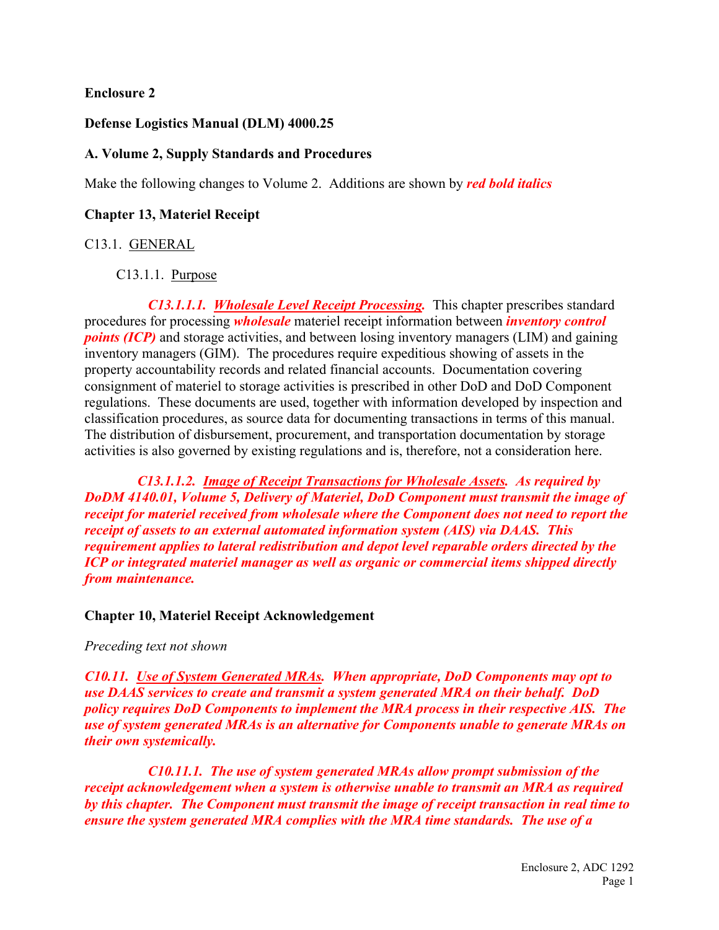### **Enclosure 2**

#### **Defense Logistics Manual (DLM) 4000.25**

#### **A. Volume 2, Supply Standards and Procedures**

Make the following changes to Volume 2. Additions are shown by *red bold italics*

#### **Chapter 13, Materiel Receipt**

#### C13.1. GENERAL

## C13.1.1. Purpose

*C13.1.1.1. Wholesale Level Receipt Processing.* This chapter prescribes standard procedures for processing *wholesale* materiel receipt information between *inventory control points (ICP)* and storage activities, and between losing inventory managers (LIM) and gaining inventory managers (GIM). The procedures require expeditious showing of assets in the property accountability records and related financial accounts. Documentation covering consignment of materiel to storage activities is prescribed in other DoD and DoD Component regulations. These documents are used, together with information developed by inspection and classification procedures, as source data for documenting transactions in terms of this manual. The distribution of disbursement, procurement, and transportation documentation by storage activities is also governed by existing regulations and is, therefore, not a consideration here.

*C13.1.1.2. Image of Receipt Transactions for Wholesale Assets. As required by DoDM 4140.01, Volume 5, Delivery of Materiel, DoD Component must transmit the image of receipt for materiel received from wholesale where the Component does not need to report the receipt of assets to an external automated information system (AIS) via DAAS. This requirement applies to lateral redistribution and depot level reparable orders directed by the ICP or integrated materiel manager as well as organic or commercial items shipped directly from maintenance.*

#### **Chapter 10, Materiel Receipt Acknowledgement**

#### *Preceding text not shown*

*C10.11. Use of System Generated MRAs. When appropriate, DoD Components may opt to use DAAS services to create and transmit a system generated MRA on their behalf. DoD policy requires DoD Components to implement the MRA process in their respective AIS. The use of system generated MRAs is an alternative for Components unable to generate MRAs on their own systemically.*

*C10.11.1. The use of system generated MRAs allow prompt submission of the receipt acknowledgement when a system is otherwise unable to transmit an MRA as required by this chapter. The Component must transmit the image of receipt transaction in real time to ensure the system generated MRA complies with the MRA time standards. The use of a*